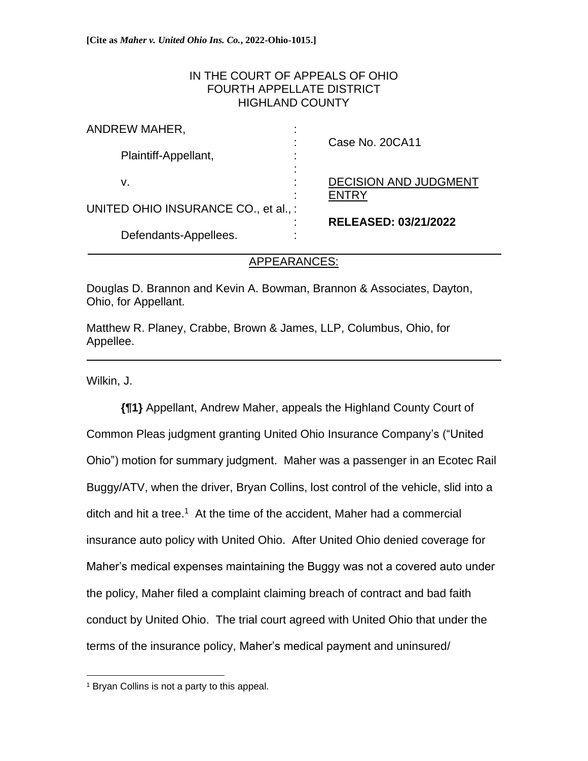### IN THE COURT OF APPEALS OF OHIO FOURTH APPELLATE DISTRICT HIGHLAND COUNTY

| ANDREW MAHER,                       | ٠                   |                              |
|-------------------------------------|---------------------|------------------------------|
|                                     |                     | Case No. 20CA11              |
| Plaintiff-Appellant,                |                     |                              |
|                                     |                     |                              |
| v.                                  |                     | <b>DECISION AND JUDGMENT</b> |
|                                     |                     | <b>FNTRY</b>                 |
| UNITED OHIO INSURANCE CO., et al.,: |                     |                              |
|                                     |                     | <b>RELEASED: 03/21/2022</b>  |
| Defendants-Appellees.               | ٠<br>$\blacksquare$ |                              |
|                                     |                     |                              |

### APPEARANCES:

i<br>L

Douglas D. Brannon and Kevin A. Bowman, Brannon & Associates, Dayton, Ohio, for Appellant.

Matthew R. Planey, Crabbe, Brown & James, LLP, Columbus, Ohio, for Appellee.

Wilkin, J.

**{¶1}** Appellant, Andrew Maher, appeals the Highland County Court of Common Pleas judgment granting United Ohio Insurance Company's ("United Ohio") motion for summary judgment. Maher was a passenger in an Ecotec Rail Buggy/ATV, when the driver, Bryan Collins, lost control of the vehicle, slid into a ditch and hit a tree.<sup>1</sup> At the time of the accident, Maher had a commercial insurance auto policy with United Ohio. After United Ohio denied coverage for Maher's medical expenses maintaining the Buggy was not a covered auto under the policy, Maher filed a complaint claiming breach of contract and bad faith conduct by United Ohio. The trial court agreed with United Ohio that under the terms of the insurance policy, Maher's medical payment and uninsured/

<sup>1</sup> Bryan Collins is not a party to this appeal.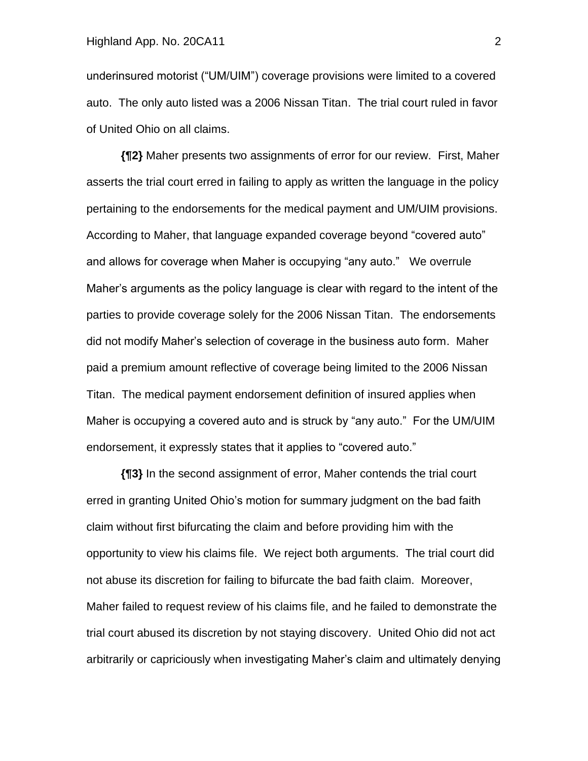underinsured motorist ("UM/UIM") coverage provisions were limited to a covered auto. The only auto listed was a 2006 Nissan Titan. The trial court ruled in favor of United Ohio on all claims.

**{¶2}** Maher presents two assignments of error for our review. First, Maher asserts the trial court erred in failing to apply as written the language in the policy pertaining to the endorsements for the medical payment and UM/UIM provisions. According to Maher, that language expanded coverage beyond "covered auto" and allows for coverage when Maher is occupying "any auto." We overrule Maher's arguments as the policy language is clear with regard to the intent of the parties to provide coverage solely for the 2006 Nissan Titan. The endorsements did not modify Maher's selection of coverage in the business auto form. Maher paid a premium amount reflective of coverage being limited to the 2006 Nissan Titan. The medical payment endorsement definition of insured applies when Maher is occupying a covered auto and is struck by "any auto." For the UM/UIM endorsement, it expressly states that it applies to "covered auto."

**{¶3}** In the second assignment of error, Maher contends the trial court erred in granting United Ohio's motion for summary judgment on the bad faith claim without first bifurcating the claim and before providing him with the opportunity to view his claims file. We reject both arguments. The trial court did not abuse its discretion for failing to bifurcate the bad faith claim. Moreover, Maher failed to request review of his claims file, and he failed to demonstrate the trial court abused its discretion by not staying discovery. United Ohio did not act arbitrarily or capriciously when investigating Maher's claim and ultimately denying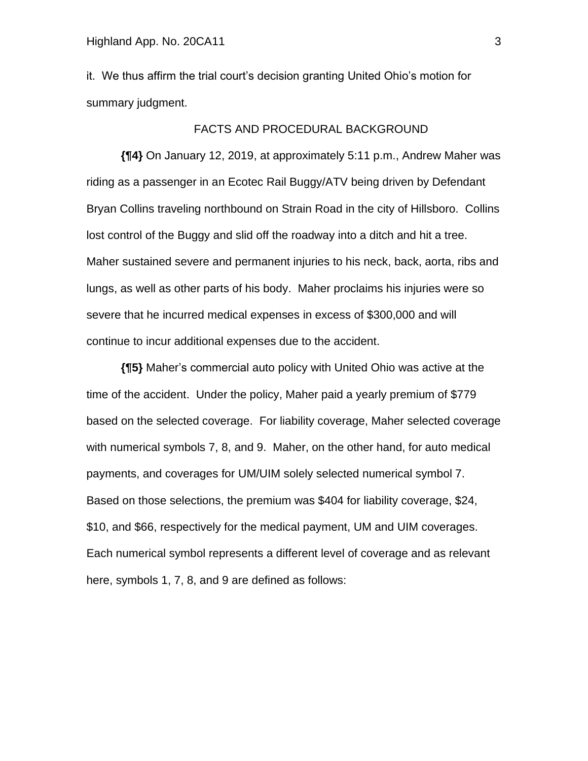it. We thus affirm the trial court's decision granting United Ohio's motion for summary judgment.

### FACTS AND PROCEDURAL BACKGROUND

**{¶4}** On January 12, 2019, at approximately 5:11 p.m., Andrew Maher was riding as a passenger in an Ecotec Rail Buggy/ATV being driven by Defendant Bryan Collins traveling northbound on Strain Road in the city of Hillsboro. Collins lost control of the Buggy and slid off the roadway into a ditch and hit a tree. Maher sustained severe and permanent injuries to his neck, back, aorta, ribs and lungs, as well as other parts of his body. Maher proclaims his injuries were so severe that he incurred medical expenses in excess of \$300,000 and will continue to incur additional expenses due to the accident.

**{¶5}** Maher's commercial auto policy with United Ohio was active at the time of the accident. Under the policy, Maher paid a yearly premium of \$779 based on the selected coverage. For liability coverage, Maher selected coverage with numerical symbols 7, 8, and 9. Maher, on the other hand, for auto medical payments, and coverages for UM/UIM solely selected numerical symbol 7. Based on those selections, the premium was \$404 for liability coverage, \$24, \$10, and \$66, respectively for the medical payment, UM and UIM coverages. Each numerical symbol represents a different level of coverage and as relevant here, symbols 1, 7, 8, and 9 are defined as follows: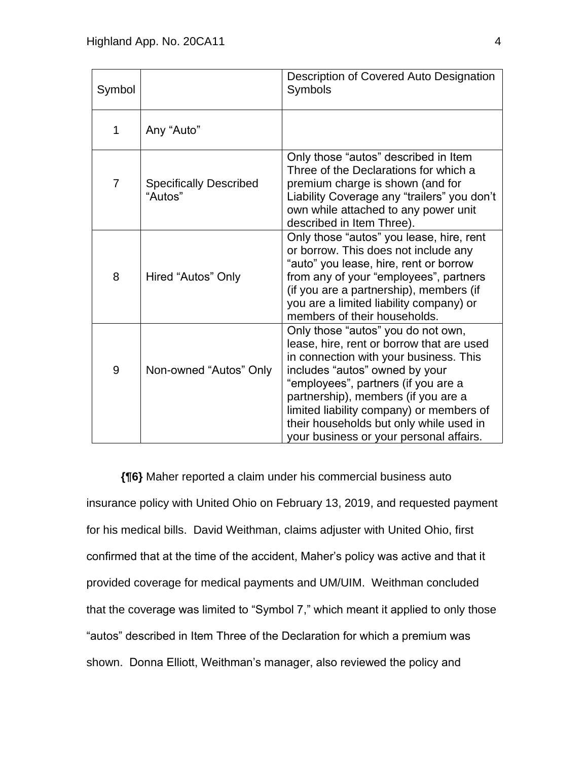| Symbol         |                                          | Description of Covered Auto Designation<br>Symbols                                                                                                                                                                                                                                                                                                                          |  |
|----------------|------------------------------------------|-----------------------------------------------------------------------------------------------------------------------------------------------------------------------------------------------------------------------------------------------------------------------------------------------------------------------------------------------------------------------------|--|
| 1              | Any "Auto"                               |                                                                                                                                                                                                                                                                                                                                                                             |  |
| $\overline{7}$ | <b>Specifically Described</b><br>"Autos" | Only those "autos" described in Item<br>Three of the Declarations for which a<br>premium charge is shown (and for<br>Liability Coverage any "trailers" you don't<br>own while attached to any power unit<br>described in Item Three).                                                                                                                                       |  |
| 8              | Hired "Autos" Only                       | Only those "autos" you lease, hire, rent<br>or borrow. This does not include any<br>"auto" you lease, hire, rent or borrow<br>from any of your "employees", partners<br>(if you are a partnership), members (if<br>you are a limited liability company) or<br>members of their households.                                                                                  |  |
| 9              | Non-owned "Autos" Only                   | Only those "autos" you do not own,<br>lease, hire, rent or borrow that are used<br>in connection with your business. This<br>includes "autos" owned by your<br>"employees", partners (if you are a<br>partnership), members (if you are a<br>limited liability company) or members of<br>their households but only while used in<br>your business or your personal affairs. |  |

**{¶6}** Maher reported a claim under his commercial business auto insurance policy with United Ohio on February 13, 2019, and requested payment for his medical bills. David Weithman, claims adjuster with United Ohio, first confirmed that at the time of the accident, Maher's policy was active and that it provided coverage for medical payments and UM/UIM. Weithman concluded that the coverage was limited to "Symbol 7," which meant it applied to only those "autos" described in Item Three of the Declaration for which a premium was shown. Donna Elliott, Weithman's manager, also reviewed the policy and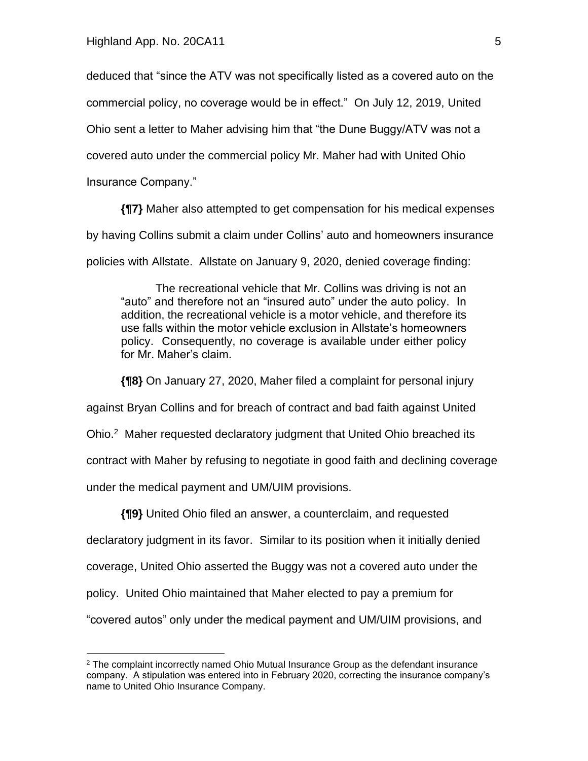deduced that "since the ATV was not specifically listed as a covered auto on the

commercial policy, no coverage would be in effect." On July 12, 2019, United

Ohio sent a letter to Maher advising him that "the Dune Buggy/ATV was not a

covered auto under the commercial policy Mr. Maher had with United Ohio

Insurance Company."

**{¶7}** Maher also attempted to get compensation for his medical expenses by having Collins submit a claim under Collins' auto and homeowners insurance policies with Allstate. Allstate on January 9, 2020, denied coverage finding:

The recreational vehicle that Mr. Collins was driving is not an "auto" and therefore not an "insured auto" under the auto policy. In addition, the recreational vehicle is a motor vehicle, and therefore its use falls within the motor vehicle exclusion in Allstate's homeowners policy. Consequently, no coverage is available under either policy for Mr. Maher's claim.

**{¶8}** On January 27, 2020, Maher filed a complaint for personal injury

against Bryan Collins and for breach of contract and bad faith against United

Ohio.<sup>2</sup> Maher requested declaratory judgment that United Ohio breached its

contract with Maher by refusing to negotiate in good faith and declining coverage

under the medical payment and UM/UIM provisions.

**{¶9}** United Ohio filed an answer, a counterclaim, and requested

declaratory judgment in its favor. Similar to its position when it initially denied

coverage, United Ohio asserted the Buggy was not a covered auto under the

policy. United Ohio maintained that Maher elected to pay a premium for

"covered autos" only under the medical payment and UM/UIM provisions, and

 $2$  The complaint incorrectly named Ohio Mutual Insurance Group as the defendant insurance company. A stipulation was entered into in February 2020, correcting the insurance company's name to United Ohio Insurance Company.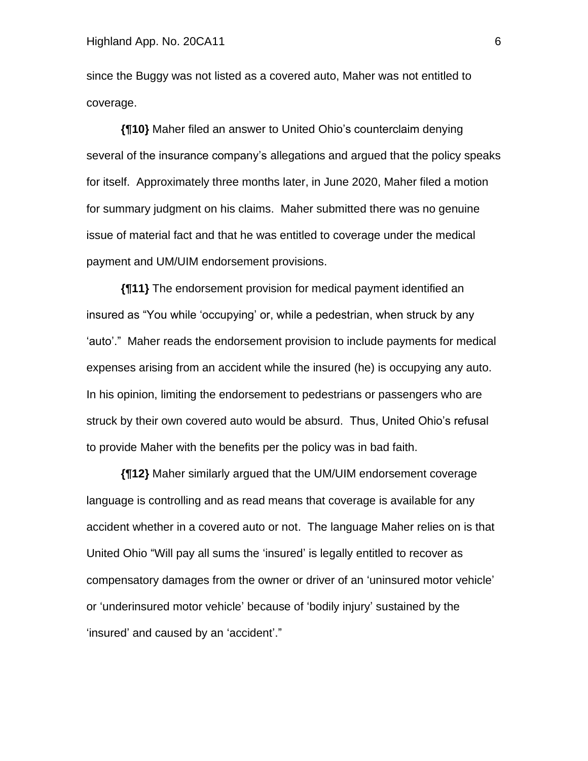since the Buggy was not listed as a covered auto, Maher was not entitled to coverage.

**{¶10}** Maher filed an answer to United Ohio's counterclaim denying several of the insurance company's allegations and argued that the policy speaks for itself. Approximately three months later, in June 2020, Maher filed a motion for summary judgment on his claims. Maher submitted there was no genuine issue of material fact and that he was entitled to coverage under the medical payment and UM/UIM endorsement provisions.

**{¶11}** The endorsement provision for medical payment identified an insured as "You while 'occupying' or, while a pedestrian, when struck by any 'auto'." Maher reads the endorsement provision to include payments for medical expenses arising from an accident while the insured (he) is occupying any auto. In his opinion, limiting the endorsement to pedestrians or passengers who are struck by their own covered auto would be absurd. Thus, United Ohio's refusal to provide Maher with the benefits per the policy was in bad faith.

**{¶12}** Maher similarly argued that the UM/UIM endorsement coverage language is controlling and as read means that coverage is available for any accident whether in a covered auto or not. The language Maher relies on is that United Ohio "Will pay all sums the 'insured' is legally entitled to recover as compensatory damages from the owner or driver of an 'uninsured motor vehicle' or 'underinsured motor vehicle' because of 'bodily injury' sustained by the 'insured' and caused by an 'accident'."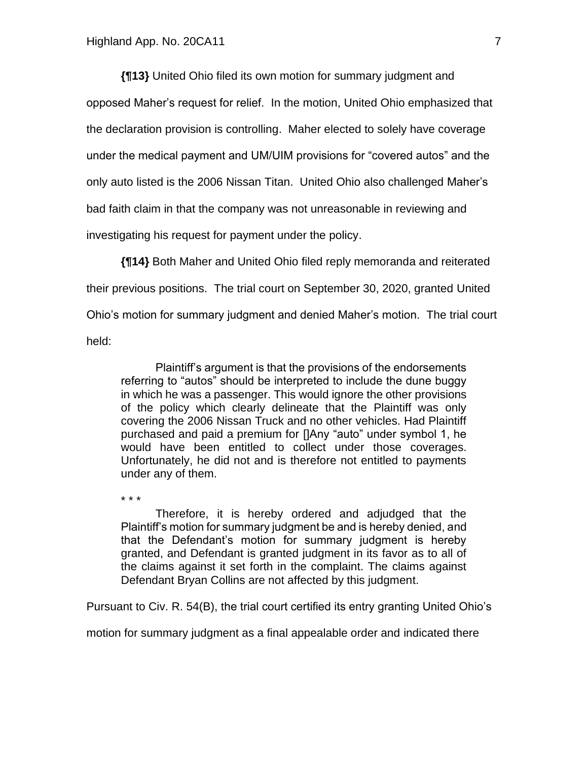\* \* \*

**{¶13}** United Ohio filed its own motion for summary judgment and opposed Maher's request for relief. In the motion, United Ohio emphasized that the declaration provision is controlling. Maher elected to solely have coverage under the medical payment and UM/UIM provisions for "covered autos" and the only auto listed is the 2006 Nissan Titan. United Ohio also challenged Maher's bad faith claim in that the company was not unreasonable in reviewing and investigating his request for payment under the policy.

**{¶14}** Both Maher and United Ohio filed reply memoranda and reiterated their previous positions. The trial court on September 30, 2020, granted United Ohio's motion for summary judgment and denied Maher's motion. The trial court held:

Plaintiff's argument is that the provisions of the endorsements referring to "autos" should be interpreted to include the dune buggy in which he was a passenger. This would ignore the other provisions of the policy which clearly delineate that the Plaintiff was only covering the 2006 Nissan Truck and no other vehicles. Had Plaintiff purchased and paid a premium for []Any "auto" under symbol 1, he would have been entitled to collect under those coverages. Unfortunately, he did not and is therefore not entitled to payments under any of them.

Therefore, it is hereby ordered and adjudged that the Plaintiff's motion for summary judgment be and is hereby denied, and that the Defendant's motion for summary judgment is hereby granted, and Defendant is granted judgment in its favor as to all of the claims against it set forth in the complaint. The claims against Defendant Bryan Collins are not affected by this judgment.

Pursuant to Civ. R. 54(B), the trial court certified its entry granting United Ohio's

motion for summary judgment as a final appealable order and indicated there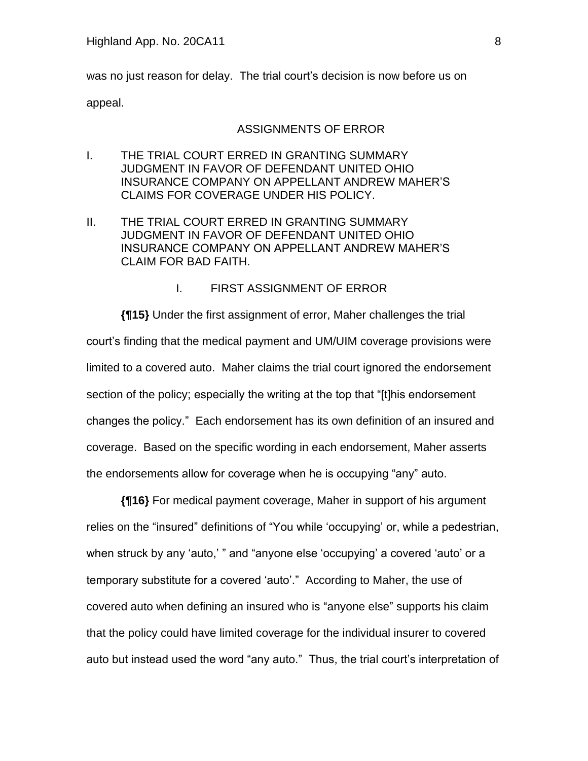was no just reason for delay. The trial court's decision is now before us on appeal.

#### ASSIGNMENTS OF ERROR

- I. THE TRIAL COURT ERRED IN GRANTING SUMMARY JUDGMENT IN FAVOR OF DEFENDANT UNITED OHIO INSURANCE COMPANY ON APPELLANT ANDREW MAHER'S CLAIMS FOR COVERAGE UNDER HIS POLICY.
- II. THE TRIAL COURT ERRED IN GRANTING SUMMARY JUDGMENT IN FAVOR OF DEFENDANT UNITED OHIO INSURANCE COMPANY ON APPELLANT ANDREW MAHER'S CLAIM FOR BAD FAITH.

### I. FIRST ASSIGNMENT OF ERROR

**{¶15}** Under the first assignment of error, Maher challenges the trial court's finding that the medical payment and UM/UIM coverage provisions were limited to a covered auto. Maher claims the trial court ignored the endorsement section of the policy; especially the writing at the top that "[t]his endorsement changes the policy." Each endorsement has its own definition of an insured and coverage. Based on the specific wording in each endorsement, Maher asserts the endorsements allow for coverage when he is occupying "any" auto.

**{¶16}** For medical payment coverage, Maher in support of his argument relies on the "insured" definitions of "You while 'occupying' or, while a pedestrian, when struck by any 'auto,' " and "anyone else 'occupying' a covered 'auto' or a temporary substitute for a covered 'auto'." According to Maher, the use of covered auto when defining an insured who is "anyone else" supports his claim that the policy could have limited coverage for the individual insurer to covered auto but instead used the word "any auto." Thus, the trial court's interpretation of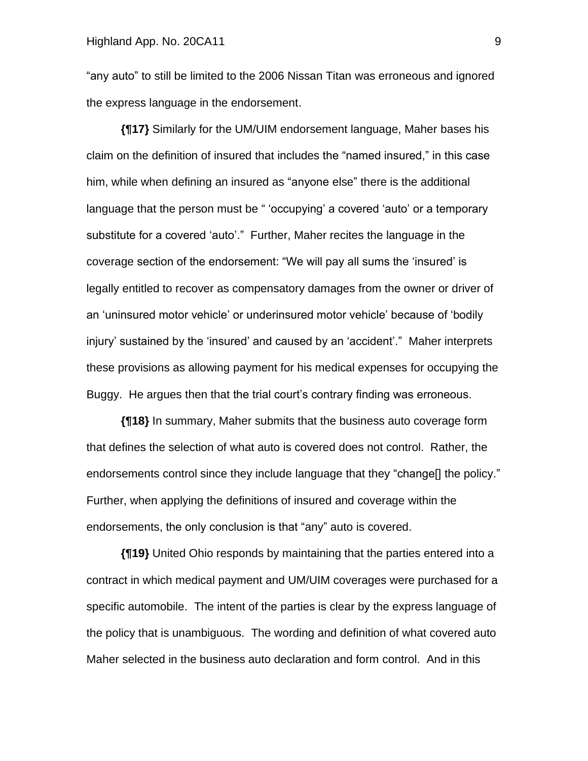"any auto" to still be limited to the 2006 Nissan Titan was erroneous and ignored the express language in the endorsement.

**{¶17}** Similarly for the UM/UIM endorsement language, Maher bases his claim on the definition of insured that includes the "named insured," in this case him, while when defining an insured as "anyone else" there is the additional language that the person must be " 'occupying' a covered 'auto' or a temporary substitute for a covered 'auto'." Further, Maher recites the language in the coverage section of the endorsement: "We will pay all sums the 'insured' is legally entitled to recover as compensatory damages from the owner or driver of an 'uninsured motor vehicle' or underinsured motor vehicle' because of 'bodily injury' sustained by the 'insured' and caused by an 'accident'." Maher interprets these provisions as allowing payment for his medical expenses for occupying the Buggy. He argues then that the trial court's contrary finding was erroneous.

**{¶18}** In summary, Maher submits that the business auto coverage form that defines the selection of what auto is covered does not control. Rather, the endorsements control since they include language that they "change[] the policy." Further, when applying the definitions of insured and coverage within the endorsements, the only conclusion is that "any" auto is covered.

**{¶19}** United Ohio responds by maintaining that the parties entered into a contract in which medical payment and UM/UIM coverages were purchased for a specific automobile. The intent of the parties is clear by the express language of the policy that is unambiguous. The wording and definition of what covered auto Maher selected in the business auto declaration and form control. And in this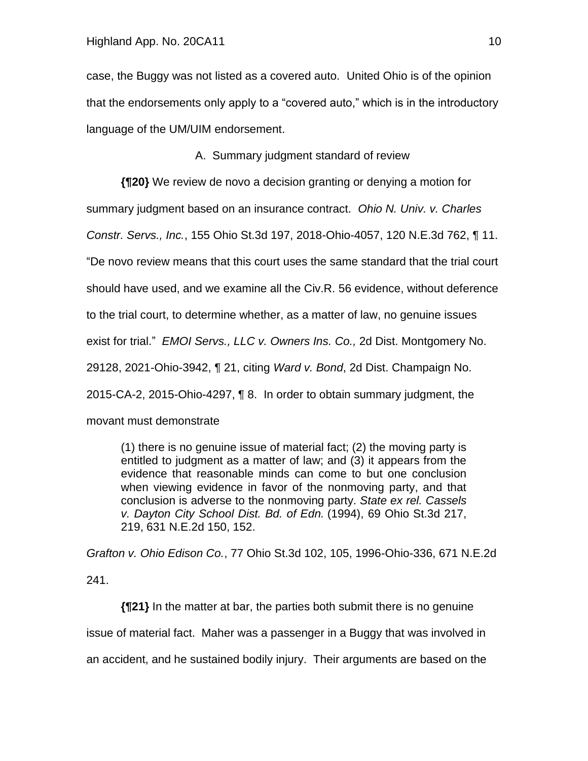case, the Buggy was not listed as a covered auto. United Ohio is of the opinion that the endorsements only apply to a "covered auto," which is in the introductory language of the UM/UIM endorsement.

A. Summary judgment standard of review

**{¶20}** We review de novo a decision granting or denying a motion for summary judgment based on an insurance contract. *Ohio N. Univ. v. Charles Constr. Servs., Inc.*, 155 Ohio St.3d 197, 2018-Ohio-4057, 120 N.E.3d 762, ¶ 11. "De novo review means that this court uses the same standard that the trial court should have used, and we examine all the Civ.R. 56 evidence, without deference to the trial court, to determine whether, as a matter of law, no genuine issues exist for trial." *EMOI Servs., LLC v. Owners Ins. Co.,* 2d Dist. Montgomery No. 29128, 2021-Ohio-3942, ¶ 21, citing *Ward v. Bond*, 2d Dist. Champaign No. 2015-CA-2, 2015-Ohio-4297, ¶ 8. In order to obtain summary judgment, the movant must demonstrate

(1) there is no genuine issue of material fact; (2) the moving party is entitled to judgment as a matter of law; and (3) it appears from the evidence that reasonable minds can come to but one conclusion when viewing evidence in favor of the nonmoving party, and that conclusion is adverse to the nonmoving party. *State ex rel. Cassels v. Dayton City School Dist. Bd. of Edn.* (1994), 69 Ohio St.3d 217, 219, 631 N.E.2d 150, 152.

*Grafton v. Ohio Edison Co.*, 77 Ohio St.3d 102, 105, 1996-Ohio-336, 671 N.E.2d 241.

**{¶21}** In the matter at bar, the parties both submit there is no genuine issue of material fact. Maher was a passenger in a Buggy that was involved in an accident, and he sustained bodily injury. Their arguments are based on the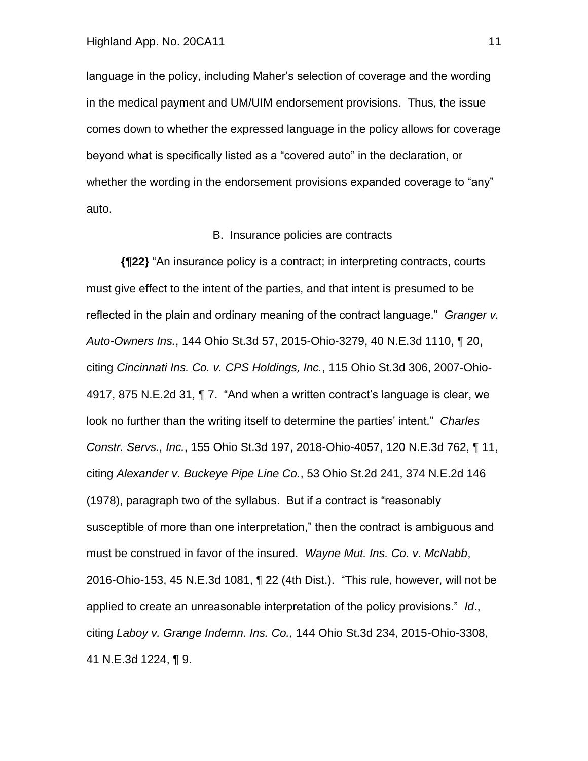#### Highland App. No. 20CA11 11

language in the policy, including Maher's selection of coverage and the wording in the medical payment and UM/UIM endorsement provisions. Thus, the issue comes down to whether the expressed language in the policy allows for coverage beyond what is specifically listed as a "covered auto" in the declaration, or whether the wording in the endorsement provisions expanded coverage to "any" auto.

#### B. Insurance policies are contracts

**{¶22}** "An insurance policy is a contract; in interpreting contracts, courts must give effect to the intent of the parties, and that intent is presumed to be reflected in the plain and ordinary meaning of the contract language." *Granger v. Auto-Owners Ins.*, 144 Ohio St.3d 57, 2015-Ohio-3279, 40 N.E.3d 1110, ¶ 20, citing *Cincinnati Ins. Co. v. CPS Holdings, Inc.*, 115 Ohio St.3d 306, 2007-Ohio-4917, 875 N.E.2d 31, ¶ 7. "And when a written contract's language is clear, we look no further than the writing itself to determine the parties' intent." *Charles Constr. Servs., Inc.*, 155 Ohio St.3d 197, 2018-Ohio-4057, 120 N.E.3d 762, ¶ 11, citing *Alexander v. Buckeye Pipe Line Co.*, 53 Ohio St.2d 241, 374 N.E.2d 146 (1978), paragraph two of the syllabus. But if a contract is "reasonably susceptible of more than one interpretation," then the contract is ambiguous and must be construed in favor of the insured. *Wayne Mut. Ins. Co. v. McNabb*, 2016-Ohio-153, 45 N.E.3d 1081, ¶ 22 (4th Dist.). "This rule, however, will not be applied to create an unreasonable interpretation of the policy provisions." *Id*., citing *Laboy v. Grange Indemn. Ins. Co.,* 144 Ohio St.3d 234, 2015-Ohio-3308, 41 N.E.3d 1224, ¶ 9.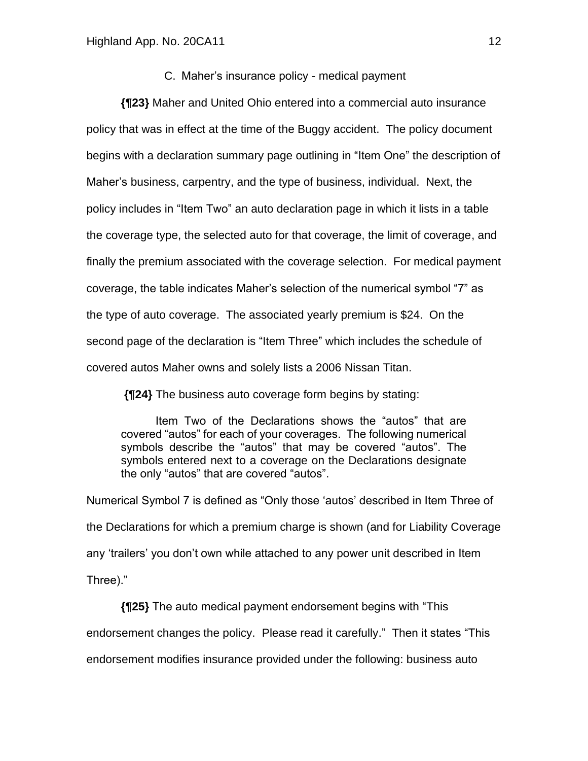#### C. Maher's insurance policy - medical payment

**{¶23}** Maher and United Ohio entered into a commercial auto insurance policy that was in effect at the time of the Buggy accident. The policy document begins with a declaration summary page outlining in "Item One" the description of Maher's business, carpentry, and the type of business, individual. Next, the policy includes in "Item Two" an auto declaration page in which it lists in a table the coverage type, the selected auto for that coverage, the limit of coverage, and finally the premium associated with the coverage selection. For medical payment coverage, the table indicates Maher's selection of the numerical symbol "7" as the type of auto coverage. The associated yearly premium is \$24. On the second page of the declaration is "Item Three" which includes the schedule of covered autos Maher owns and solely lists a 2006 Nissan Titan.

**{¶24}** The business auto coverage form begins by stating:

Item Two of the Declarations shows the "autos" that are covered "autos" for each of your coverages. The following numerical symbols describe the "autos" that may be covered "autos". The symbols entered next to a coverage on the Declarations designate the only "autos" that are covered "autos".

Numerical Symbol 7 is defined as "Only those 'autos' described in Item Three of the Declarations for which a premium charge is shown (and for Liability Coverage any 'trailers' you don't own while attached to any power unit described in Item Three)."

**{¶25}** The auto medical payment endorsement begins with "This endorsement changes the policy. Please read it carefully." Then it states "This endorsement modifies insurance provided under the following: business auto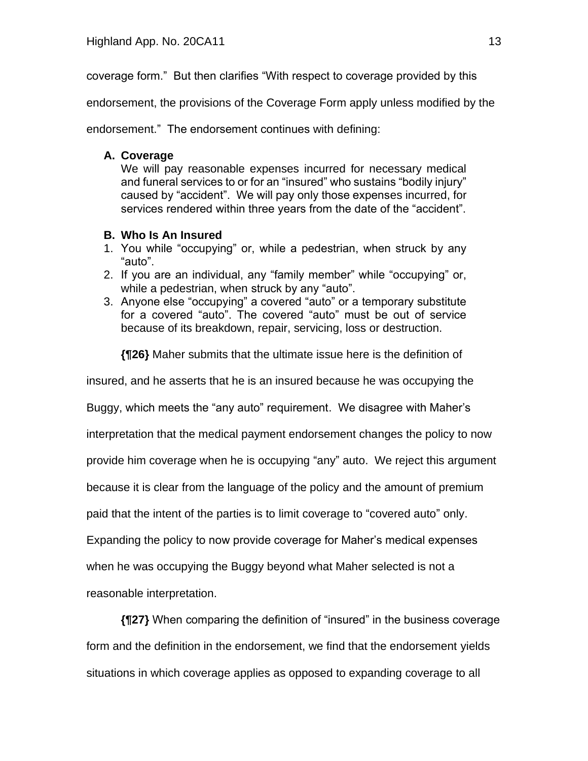coverage form." But then clarifies "With respect to coverage provided by this

endorsement, the provisions of the Coverage Form apply unless modified by the

endorsement." The endorsement continues with defining:

## **A. Coverage**

We will pay reasonable expenses incurred for necessary medical and funeral services to or for an "insured" who sustains "bodily injury" caused by "accident". We will pay only those expenses incurred, for services rendered within three years from the date of the "accident".

## **B. Who Is An Insured**

- 1. You while "occupying" or, while a pedestrian, when struck by any "auto".
- 2. If you are an individual, any "family member" while "occupying" or, while a pedestrian, when struck by any "auto".
- 3. Anyone else "occupying" a covered "auto" or a temporary substitute for a covered "auto". The covered "auto" must be out of service because of its breakdown, repair, servicing, loss or destruction.

**{¶26}** Maher submits that the ultimate issue here is the definition of

insured, and he asserts that he is an insured because he was occupying the

Buggy, which meets the "any auto" requirement. We disagree with Maher's

interpretation that the medical payment endorsement changes the policy to now

provide him coverage when he is occupying "any" auto. We reject this argument

because it is clear from the language of the policy and the amount of premium

paid that the intent of the parties is to limit coverage to "covered auto" only.

Expanding the policy to now provide coverage for Maher's medical expenses

when he was occupying the Buggy beyond what Maher selected is not a

reasonable interpretation.

**{¶27}** When comparing the definition of "insured" in the business coverage form and the definition in the endorsement, we find that the endorsement yields situations in which coverage applies as opposed to expanding coverage to all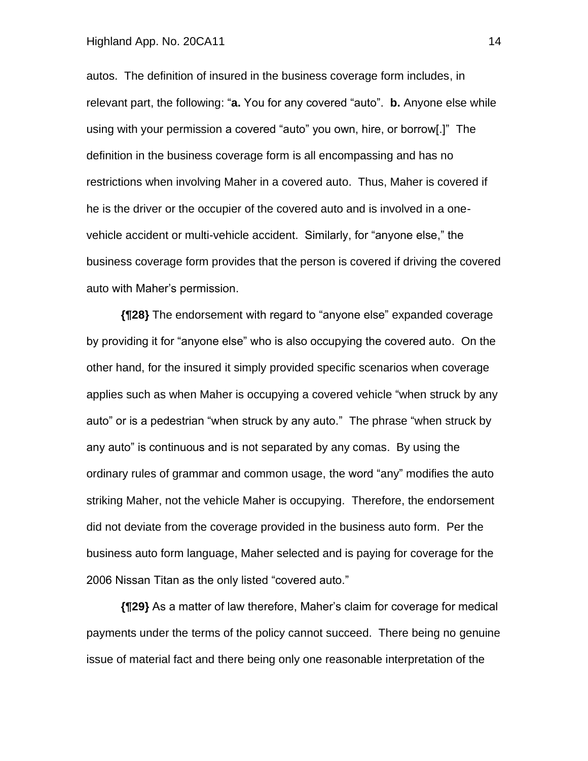#### Highland App. No. 20CA11 14

autos. The definition of insured in the business coverage form includes, in relevant part, the following: "**a.** You for any covered "auto". **b.** Anyone else while using with your permission a covered "auto" you own, hire, or borrow[.]" The definition in the business coverage form is all encompassing and has no restrictions when involving Maher in a covered auto. Thus, Maher is covered if he is the driver or the occupier of the covered auto and is involved in a onevehicle accident or multi-vehicle accident. Similarly, for "anyone else," the business coverage form provides that the person is covered if driving the covered auto with Maher's permission.

**{¶28}** The endorsement with regard to "anyone else" expanded coverage by providing it for "anyone else" who is also occupying the covered auto. On the other hand, for the insured it simply provided specific scenarios when coverage applies such as when Maher is occupying a covered vehicle "when struck by any auto" or is a pedestrian "when struck by any auto." The phrase "when struck by any auto" is continuous and is not separated by any comas. By using the ordinary rules of grammar and common usage, the word "any" modifies the auto striking Maher, not the vehicle Maher is occupying. Therefore, the endorsement did not deviate from the coverage provided in the business auto form. Per the business auto form language, Maher selected and is paying for coverage for the 2006 Nissan Titan as the only listed "covered auto."

**{¶29}** As a matter of law therefore, Maher's claim for coverage for medical payments under the terms of the policy cannot succeed. There being no genuine issue of material fact and there being only one reasonable interpretation of the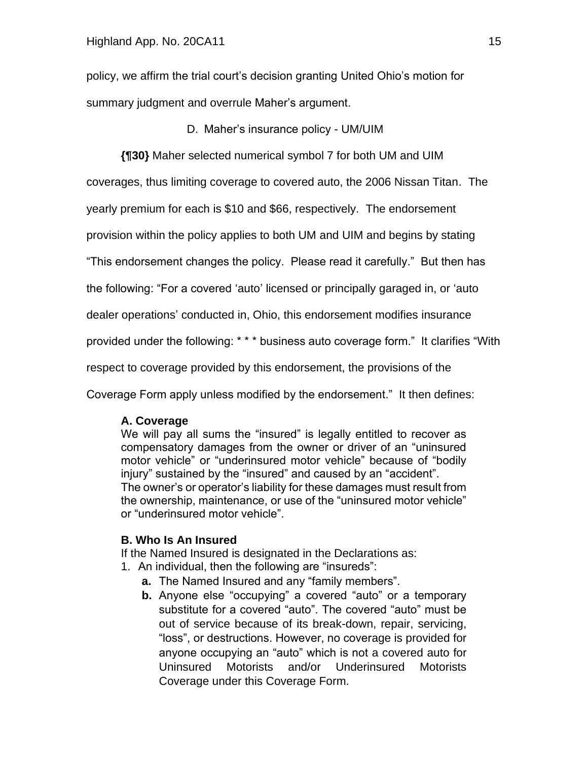policy, we affirm the trial court's decision granting United Ohio's motion for summary judgment and overrule Maher's argument.

D. Maher's insurance policy - UM/UIM

**{¶30}** Maher selected numerical symbol 7 for both UM and UIM

coverages, thus limiting coverage to covered auto, the 2006 Nissan Titan. The

yearly premium for each is \$10 and \$66, respectively. The endorsement

provision within the policy applies to both UM and UIM and begins by stating

"This endorsement changes the policy. Please read it carefully." But then has

the following: "For a covered 'auto' licensed or principally garaged in, or 'auto

dealer operations' conducted in, Ohio, this endorsement modifies insurance

provided under the following: \* \* \* business auto coverage form." It clarifies "With

respect to coverage provided by this endorsement, the provisions of the

Coverage Form apply unless modified by the endorsement." It then defines:

## **A. Coverage**

We will pay all sums the "insured" is legally entitled to recover as compensatory damages from the owner or driver of an "uninsured motor vehicle" or "underinsured motor vehicle" because of "bodily injury" sustained by the "insured" and caused by an "accident". The owner's or operator's liability for these damages must result from the ownership, maintenance, or use of the "uninsured motor vehicle" or "underinsured motor vehicle".

## **B. Who Is An Insured**

If the Named Insured is designated in the Declarations as:

- 1. An individual, then the following are "insureds":
	- **a.** The Named Insured and any "family members".
	- **b.** Anyone else "occupying" a covered "auto" or a temporary substitute for a covered "auto". The covered "auto" must be out of service because of its break-down, repair, servicing, "loss", or destructions. However, no coverage is provided for anyone occupying an "auto" which is not a covered auto for Uninsured Motorists and/or Underinsured Motorists Coverage under this Coverage Form.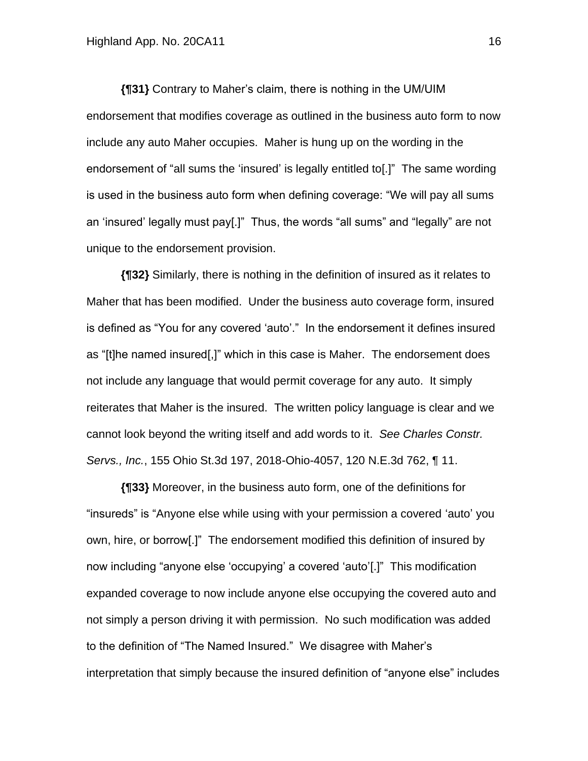**{¶31}** Contrary to Maher's claim, there is nothing in the UM/UIM endorsement that modifies coverage as outlined in the business auto form to now include any auto Maher occupies. Maher is hung up on the wording in the endorsement of "all sums the 'insured' is legally entitled to[.]" The same wording is used in the business auto form when defining coverage: "We will pay all sums an 'insured' legally must pay[.]" Thus, the words "all sums" and "legally" are not unique to the endorsement provision.

**{¶32}** Similarly, there is nothing in the definition of insured as it relates to Maher that has been modified. Under the business auto coverage form, insured is defined as "You for any covered 'auto'." In the endorsement it defines insured as "[t]he named insured[,]" which in this case is Maher. The endorsement does not include any language that would permit coverage for any auto. It simply reiterates that Maher is the insured. The written policy language is clear and we cannot look beyond the writing itself and add words to it. *See Charles Constr. Servs., Inc.*, 155 Ohio St.3d 197, 2018-Ohio-4057, 120 N.E.3d 762, ¶ 11.

**{¶33}** Moreover, in the business auto form, one of the definitions for "insureds" is "Anyone else while using with your permission a covered 'auto' you own, hire, or borrow[.]" The endorsement modified this definition of insured by now including "anyone else 'occupying' a covered 'auto'[.]" This modification expanded coverage to now include anyone else occupying the covered auto and not simply a person driving it with permission. No such modification was added to the definition of "The Named Insured." We disagree with Maher's interpretation that simply because the insured definition of "anyone else" includes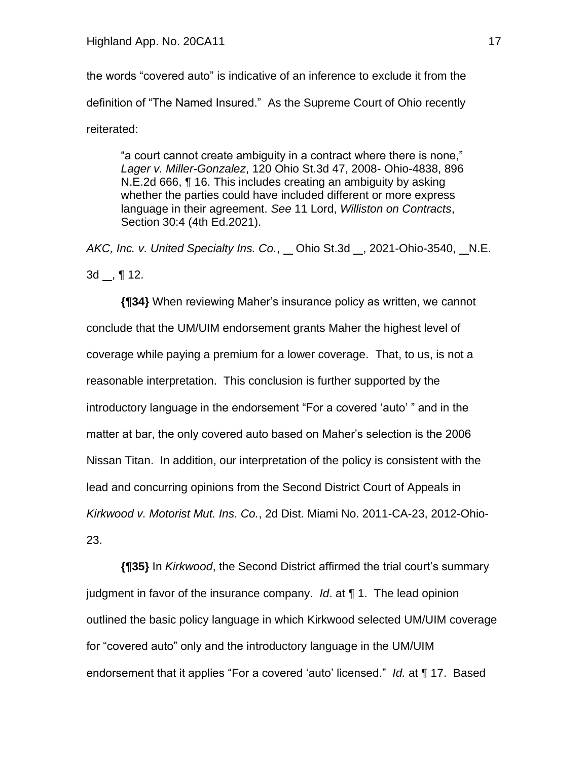the words "covered auto" is indicative of an inference to exclude it from the definition of "The Named Insured." As the Supreme Court of Ohio recently reiterated:

"a court cannot create ambiguity in a contract where there is none," *Lager v. Miller-Gonzalez*, 120 Ohio St.3d 47, 2008- Ohio-4838, 896 N.E.2d 666, ¶ 16. This includes creating an ambiguity by asking whether the parties could have included different or more express language in their agreement. *See* 11 Lord, *Williston on Contracts*, Section 30:4 (4th Ed.2021).

*AKC, Inc. v. United Specialty Ins. Co.*, Ohio St.3d , 2021-Ohio-3540, N.E.

3d , ¶ 12.

**{¶34}** When reviewing Maher's insurance policy as written, we cannot conclude that the UM/UIM endorsement grants Maher the highest level of coverage while paying a premium for a lower coverage. That, to us, is not a reasonable interpretation. This conclusion is further supported by the introductory language in the endorsement "For a covered 'auto' " and in the matter at bar, the only covered auto based on Maher's selection is the 2006 Nissan Titan. In addition, our interpretation of the policy is consistent with the lead and concurring opinions from the Second District Court of Appeals in *Kirkwood v. Motorist Mut. Ins. Co.*, 2d Dist. Miami No. 2011-CA-23, 2012-Ohio-23.

**{¶35}** In *Kirkwood*, the Second District affirmed the trial court's summary judgment in favor of the insurance company. *Id*. at ¶ 1. The lead opinion outlined the basic policy language in which Kirkwood selected UM/UIM coverage for "covered auto" only and the introductory language in the UM/UIM endorsement that it applies "For a covered 'auto' licensed." *Id.* at ¶ 17. Based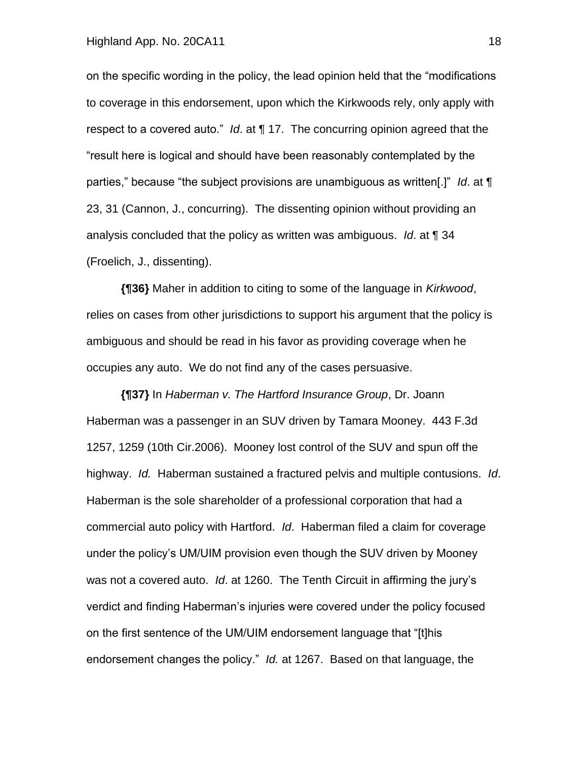on the specific wording in the policy, the lead opinion held that the "modifications to coverage in this endorsement, upon which the Kirkwoods rely, only apply with respect to a covered auto." *Id*. at ¶ 17. The concurring opinion agreed that the "result here is logical and should have been reasonably contemplated by the parties," because "the subject provisions are unambiguous as written[.]" *Id*. at ¶ 23, 31 (Cannon, J., concurring). The dissenting opinion without providing an analysis concluded that the policy as written was ambiguous. *Id*. at ¶ 34 (Froelich, J., dissenting).

**{¶36}** Maher in addition to citing to some of the language in *Kirkwood*, relies on cases from other jurisdictions to support his argument that the policy is ambiguous and should be read in his favor as providing coverage when he occupies any auto. We do not find any of the cases persuasive.

**{¶37}** In *Haberman v. The Hartford Insurance Group*, Dr. Joann Haberman was a passenger in an SUV driven by Tamara Mooney. 443 F.3d 1257, 1259 (10th Cir.2006). Mooney lost control of the SUV and spun off the highway. *Id.* Haberman sustained a fractured pelvis and multiple contusions. *Id*. Haberman is the sole shareholder of a professional corporation that had a commercial auto policy with Hartford. *Id*. Haberman filed a claim for coverage under the policy's UM/UIM provision even though the SUV driven by Mooney was not a covered auto. *Id*. at 1260. The Tenth Circuit in affirming the jury's verdict and finding Haberman's injuries were covered under the policy focused on the first sentence of the UM/UIM endorsement language that "[t]his endorsement changes the policy." *Id.* at 1267. Based on that language, the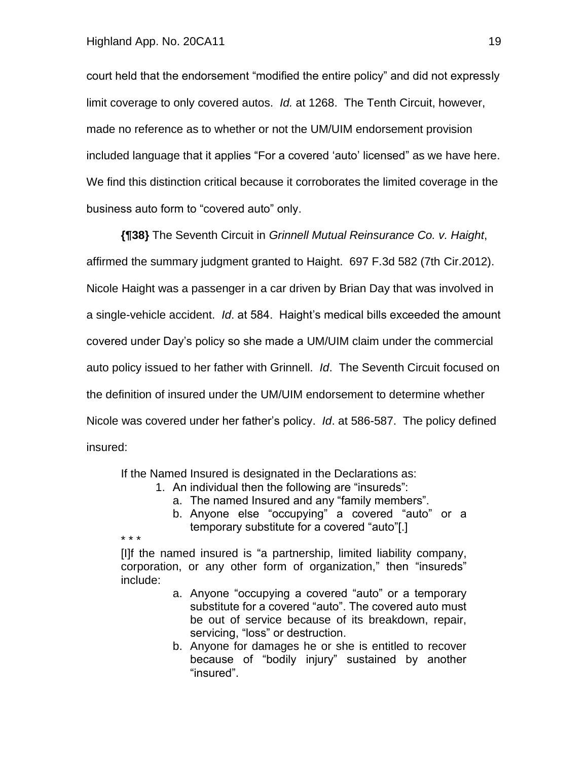court held that the endorsement "modified the entire policy" and did not expressly limit coverage to only covered autos. *Id.* at 1268. The Tenth Circuit, however, made no reference as to whether or not the UM/UIM endorsement provision included language that it applies "For a covered 'auto' licensed" as we have here. We find this distinction critical because it corroborates the limited coverage in the business auto form to "covered auto" only.

**{¶38}** The Seventh Circuit in *Grinnell Mutual Reinsurance Co. v. Haight*, affirmed the summary judgment granted to Haight. 697 F.3d 582 (7th Cir.2012). Nicole Haight was a passenger in a car driven by Brian Day that was involved in a single-vehicle accident. *Id*. at 584. Haight's medical bills exceeded the amount covered under Day's policy so she made a UM/UIM claim under the commercial auto policy issued to her father with Grinnell. *Id*. The Seventh Circuit focused on the definition of insured under the UM/UIM endorsement to determine whether Nicole was covered under her father's policy. *Id*. at 586-587. The policy defined insured:

If the Named Insured is designated in the Declarations as:

- 1. An individual then the following are "insureds":
	- a. The named Insured and any "family members".
	- b. Anyone else "occupying" a covered "auto" or a temporary substitute for a covered "auto"[.]

\* \* \*

[I]f the named insured is "a partnership, limited liability company, corporation, or any other form of organization," then "insureds" include:

- a. Anyone "occupying a covered "auto" or a temporary substitute for a covered "auto". The covered auto must be out of service because of its breakdown, repair, servicing, "loss" or destruction.
- b. Anyone for damages he or she is entitled to recover because of "bodily injury" sustained by another "insured".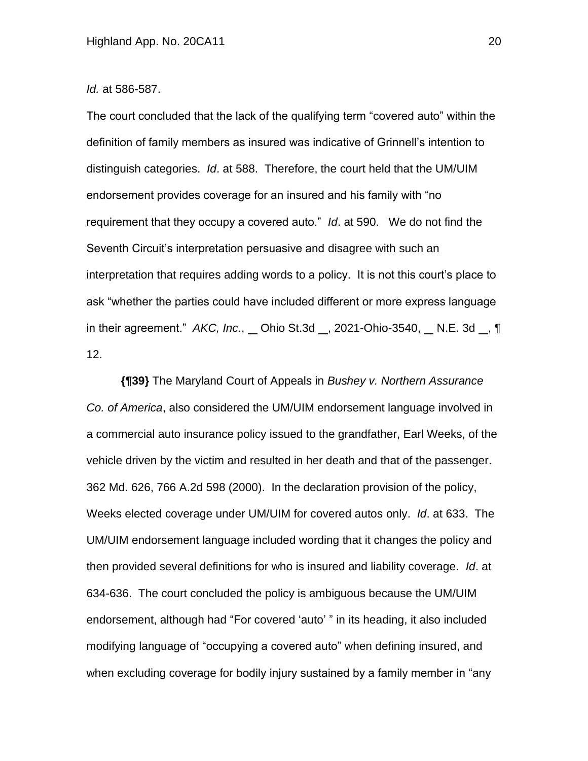#### *Id.* at 586-587.

The court concluded that the lack of the qualifying term "covered auto" within the definition of family members as insured was indicative of Grinnell's intention to distinguish categories. *Id*. at 588. Therefore, the court held that the UM/UIM endorsement provides coverage for an insured and his family with "no requirement that they occupy a covered auto." *Id*. at 590. We do not find the Seventh Circuit's interpretation persuasive and disagree with such an interpretation that requires adding words to a policy. It is not this court's place to ask "whether the parties could have included different or more express language in their agreement." *AKC, Inc.*, Ohio St.3d , 2021-Ohio-3540, N.E. 3d , ¶ 12.

**{¶39}** The Maryland Court of Appeals in *Bushey v. Northern Assurance Co. of America*, also considered the UM/UIM endorsement language involved in a commercial auto insurance policy issued to the grandfather, Earl Weeks, of the vehicle driven by the victim and resulted in her death and that of the passenger. 362 Md. 626, 766 A.2d 598 (2000). In the declaration provision of the policy, Weeks elected coverage under UM/UIM for covered autos only. *Id*. at 633. The UM/UIM endorsement language included wording that it changes the policy and then provided several definitions for who is insured and liability coverage. *Id*. at 634-636. The court concluded the policy is ambiguous because the UM/UIM endorsement, although had "For covered 'auto' " in its heading, it also included modifying language of "occupying a covered auto" when defining insured, and when excluding coverage for bodily injury sustained by a family member in "any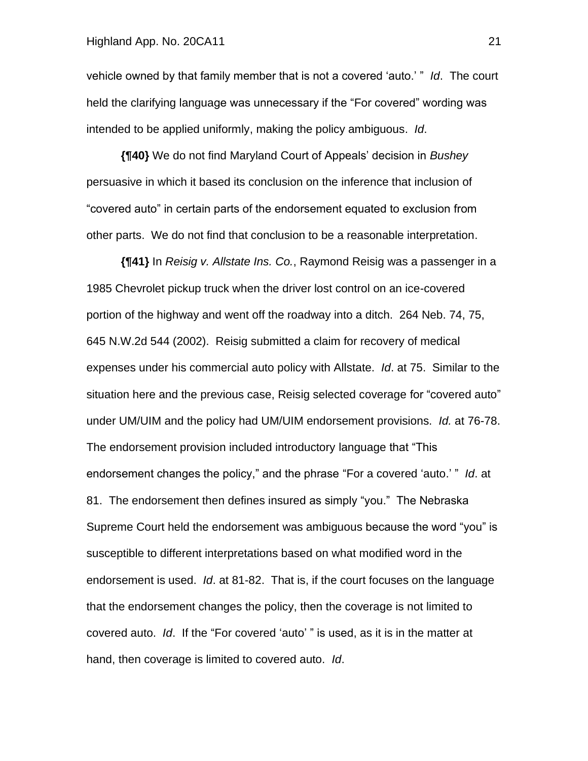#### Highland App. No. 20CA11 21

vehicle owned by that family member that is not a covered 'auto.' " *Id*. The court held the clarifying language was unnecessary if the "For covered" wording was intended to be applied uniformly, making the policy ambiguous. *Id*.

**{¶40}** We do not find Maryland Court of Appeals' decision in *Bushey* persuasive in which it based its conclusion on the inference that inclusion of "covered auto" in certain parts of the endorsement equated to exclusion from other parts. We do not find that conclusion to be a reasonable interpretation.

**{¶41}** In *Reisig v. Allstate Ins. Co.*, Raymond Reisig was a passenger in a 1985 Chevrolet pickup truck when the driver lost control on an ice-covered portion of the highway and went off the roadway into a ditch. 264 Neb. 74, 75, 645 N.W.2d 544 (2002). Reisig submitted a claim for recovery of medical expenses under his commercial auto policy with Allstate. *Id*. at 75. Similar to the situation here and the previous case, Reisig selected coverage for "covered auto" under UM/UIM and the policy had UM/UIM endorsement provisions. *Id.* at 76-78. The endorsement provision included introductory language that "This endorsement changes the policy," and the phrase "For a covered 'auto.' " *Id*. at 81. The endorsement then defines insured as simply "you." The Nebraska Supreme Court held the endorsement was ambiguous because the word "you" is susceptible to different interpretations based on what modified word in the endorsement is used. *Id*. at 81-82. That is, if the court focuses on the language that the endorsement changes the policy, then the coverage is not limited to covered auto. *Id*. If the "For covered 'auto' " is used, as it is in the matter at hand, then coverage is limited to covered auto. *Id*.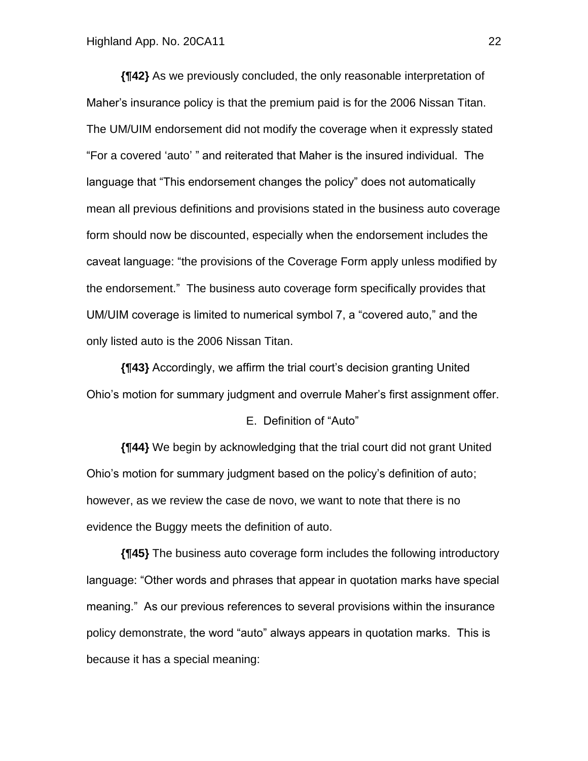**{¶42}** As we previously concluded, the only reasonable interpretation of Maher's insurance policy is that the premium paid is for the 2006 Nissan Titan. The UM/UIM endorsement did not modify the coverage when it expressly stated "For a covered 'auto' " and reiterated that Maher is the insured individual. The language that "This endorsement changes the policy" does not automatically mean all previous definitions and provisions stated in the business auto coverage form should now be discounted, especially when the endorsement includes the caveat language: "the provisions of the Coverage Form apply unless modified by the endorsement." The business auto coverage form specifically provides that UM/UIM coverage is limited to numerical symbol 7, a "covered auto," and the only listed auto is the 2006 Nissan Titan.

**{¶43}** Accordingly, we affirm the trial court's decision granting United Ohio's motion for summary judgment and overrule Maher's first assignment offer.

#### E. Definition of "Auto"

**{¶44}** We begin by acknowledging that the trial court did not grant United Ohio's motion for summary judgment based on the policy's definition of auto; however, as we review the case de novo, we want to note that there is no evidence the Buggy meets the definition of auto.

**{¶45}** The business auto coverage form includes the following introductory language: "Other words and phrases that appear in quotation marks have special meaning." As our previous references to several provisions within the insurance policy demonstrate, the word "auto" always appears in quotation marks. This is because it has a special meaning: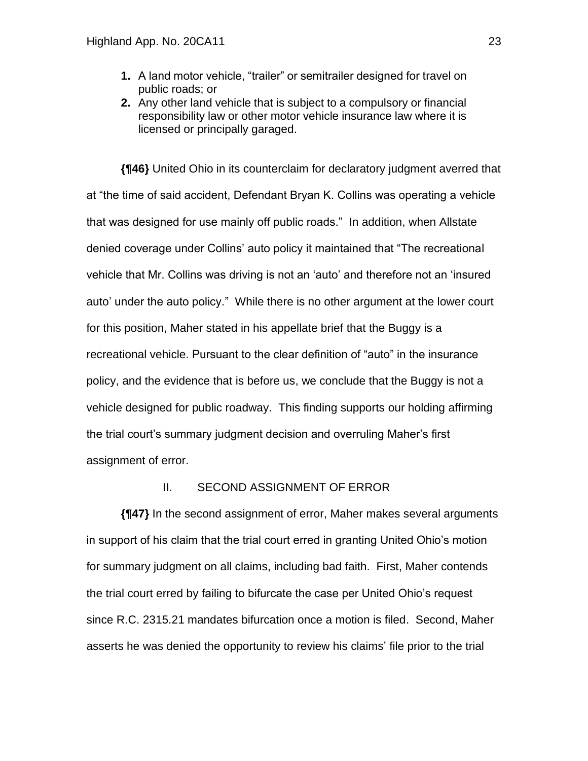- **1.** A land motor vehicle, "trailer" or semitrailer designed for travel on public roads; or
- **2.** Any other land vehicle that is subject to a compulsory or financial responsibility law or other motor vehicle insurance law where it is licensed or principally garaged.

**{¶46}** United Ohio in its counterclaim for declaratory judgment averred that at "the time of said accident, Defendant Bryan K. Collins was operating a vehicle that was designed for use mainly off public roads." In addition, when Allstate denied coverage under Collins' auto policy it maintained that "The recreational vehicle that Mr. Collins was driving is not an 'auto' and therefore not an 'insured auto' under the auto policy." While there is no other argument at the lower court for this position, Maher stated in his appellate brief that the Buggy is a recreational vehicle. Pursuant to the clear definition of "auto" in the insurance policy, and the evidence that is before us, we conclude that the Buggy is not a vehicle designed for public roadway. This finding supports our holding affirming the trial court's summary judgment decision and overruling Maher's first assignment of error.

### II. SECOND ASSIGNMENT OF ERROR

**{¶47}** In the second assignment of error, Maher makes several arguments in support of his claim that the trial court erred in granting United Ohio's motion for summary judgment on all claims, including bad faith. First, Maher contends the trial court erred by failing to bifurcate the case per United Ohio's request since R.C. 2315.21 mandates bifurcation once a motion is filed. Second, Maher asserts he was denied the opportunity to review his claims' file prior to the trial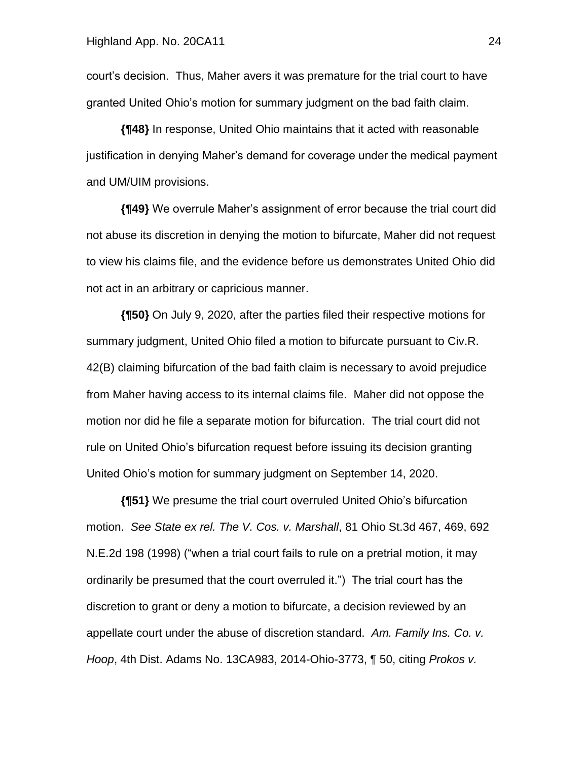court's decision. Thus, Maher avers it was premature for the trial court to have granted United Ohio's motion for summary judgment on the bad faith claim.

**{¶48}** In response, United Ohio maintains that it acted with reasonable justification in denying Maher's demand for coverage under the medical payment and UM/UIM provisions.

**{¶49}** We overrule Maher's assignment of error because the trial court did not abuse its discretion in denying the motion to bifurcate, Maher did not request to view his claims file, and the evidence before us demonstrates United Ohio did not act in an arbitrary or capricious manner.

**{¶50}** On July 9, 2020, after the parties filed their respective motions for summary judgment, United Ohio filed a motion to bifurcate pursuant to Civ.R. 42(B) claiming bifurcation of the bad faith claim is necessary to avoid prejudice from Maher having access to its internal claims file. Maher did not oppose the motion nor did he file a separate motion for bifurcation. The trial court did not rule on United Ohio's bifurcation request before issuing its decision granting United Ohio's motion for summary judgment on September 14, 2020.

**{¶51}** We presume the trial court overruled United Ohio's bifurcation motion. *See State ex rel. The V. Cos. v. Marshall*, 81 Ohio St.3d 467, 469, 692 N.E.2d 198 (1998) ("when a trial court fails to rule on a pretrial motion, it may ordinarily be presumed that the court overruled it.") The trial court has the discretion to grant or deny a motion to bifurcate, a decision reviewed by an appellate court under the abuse of discretion standard. *Am. Family Ins. Co. v. Hoop*, 4th Dist. Adams No. 13CA983, 2014-Ohio-3773, ¶ 50, citing *Prokos v.*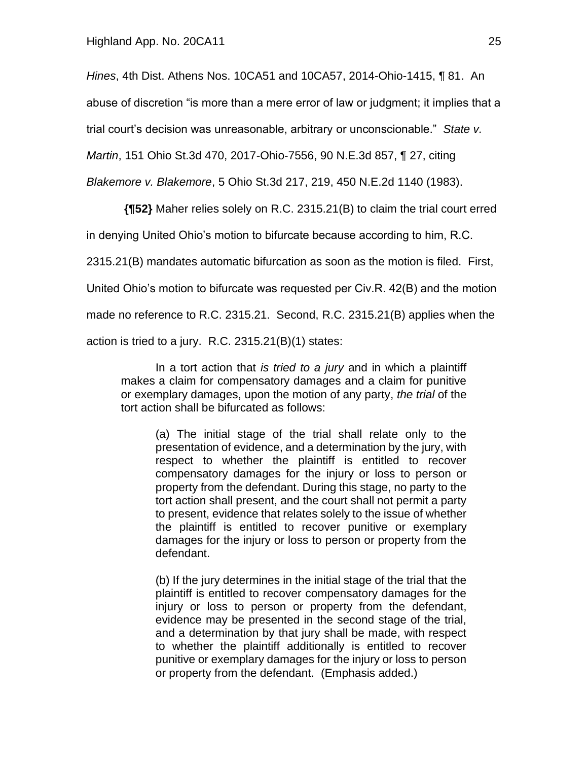*Hines*, 4th Dist. Athens Nos. 10CA51 and 10CA57, 2014-Ohio-1415, ¶ 81. An

abuse of discretion "is more than a mere error of law or judgment; it implies that a

trial court's decision was unreasonable, arbitrary or unconscionable." *State v.* 

*Martin*, 151 Ohio St.3d 470, 2017-Ohio-7556, 90 N.E.3d 857, ¶ 27, citing

*Blakemore v. Blakemore*, 5 Ohio St.3d 217, 219, 450 N.E.2d 1140 (1983).

**{¶52}** Maher relies solely on R.C. 2315.21(B) to claim the trial court erred

in denying United Ohio's motion to bifurcate because according to him, R.C.

2315.21(B) mandates automatic bifurcation as soon as the motion is filed. First,

United Ohio's motion to bifurcate was requested per Civ.R. 42(B) and the motion

made no reference to R.C. 2315.21. Second, R.C. 2315.21(B) applies when the

action is tried to a jury. R.C. 2315.21(B)(1) states:

In a tort action that *is tried to a jury* and in which a plaintiff makes a claim for compensatory damages and a claim for punitive or exemplary damages, upon the motion of any party, *the trial* of the tort action shall be bifurcated as follows:

(a) The initial stage of the trial shall relate only to the presentation of evidence, and a determination by the jury, with respect to whether the plaintiff is entitled to recover compensatory damages for the injury or loss to person or property from the defendant. During this stage, no party to the tort action shall present, and the court shall not permit a party to present, evidence that relates solely to the issue of whether the plaintiff is entitled to recover punitive or exemplary damages for the injury or loss to person or property from the defendant.

(b) If the jury determines in the initial stage of the trial that the plaintiff is entitled to recover compensatory damages for the injury or loss to person or property from the defendant, evidence may be presented in the second stage of the trial, and a determination by that jury shall be made, with respect to whether the plaintiff additionally is entitled to recover punitive or exemplary damages for the injury or loss to person or property from the defendant. (Emphasis added.)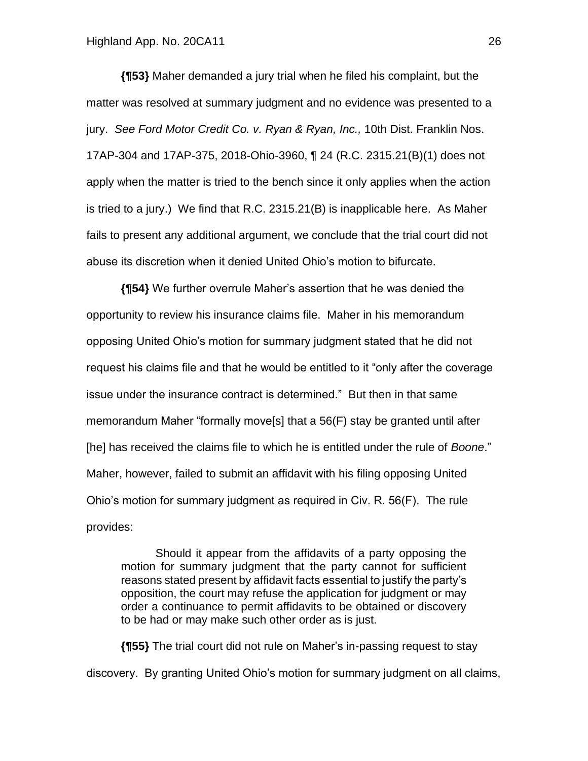**{¶53}** Maher demanded a jury trial when he filed his complaint, but the matter was resolved at summary judgment and no evidence was presented to a jury. *See Ford Motor Credit Co. v. Ryan & Ryan, Inc.,* 10th Dist. Franklin Nos. 17AP-304 and 17AP-375, 2018-Ohio-3960, ¶ 24 (R.C. 2315.21(B)(1) does not apply when the matter is tried to the bench since it only applies when the action is tried to a jury.) We find that R.C. 2315.21(B) is inapplicable here. As Maher fails to present any additional argument, we conclude that the trial court did not abuse its discretion when it denied United Ohio's motion to bifurcate.

**{¶54}** We further overrule Maher's assertion that he was denied the opportunity to review his insurance claims file. Maher in his memorandum opposing United Ohio's motion for summary judgment stated that he did not request his claims file and that he would be entitled to it "only after the coverage issue under the insurance contract is determined." But then in that same memorandum Maher "formally move[s] that a 56(F) stay be granted until after [he] has received the claims file to which he is entitled under the rule of *Boone*." Maher, however, failed to submit an affidavit with his filing opposing United Ohio's motion for summary judgment as required in Civ. R. 56(F). The rule provides:

Should it appear from the affidavits of a party opposing the motion for summary judgment that the party cannot for sufficient reasons stated present by affidavit facts essential to justify the party's opposition, the court may refuse the application for judgment or may order a continuance to permit affidavits to be obtained or discovery to be had or may make such other order as is just.

**{¶55}** The trial court did not rule on Maher's in-passing request to stay discovery. By granting United Ohio's motion for summary judgment on all claims,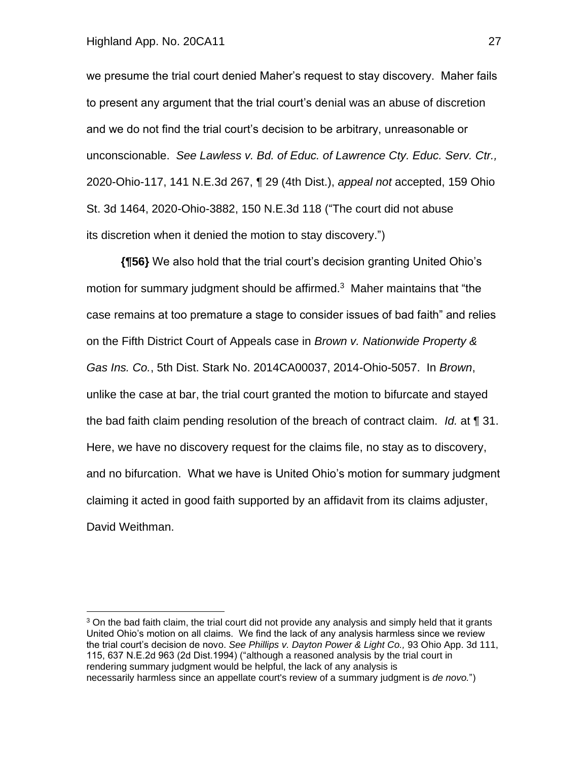we presume the trial court denied Maher's request to stay discovery. Maher fails to present any argument that the trial court's denial was an abuse of discretion and we do not find the trial court's decision to be arbitrary, unreasonable or unconscionable. *See Lawless v. Bd. of Educ. of Lawrence Cty. Educ. Serv. Ctr.,* 2020-Ohio-117, 141 N.E.3d 267, ¶ 29 (4th Dist.), *appeal not* accepted, 159 Ohio St. 3d 1464, 2020-Ohio-3882, 150 N.E.3d 118 ("The court did not abuse its discretion when it denied the motion to stay discovery.")

**{¶56}** We also hold that the trial court's decision granting United Ohio's motion for summary judgment should be affirmed.<sup>3</sup> Maher maintains that "the case remains at too premature a stage to consider issues of bad faith" and relies on the Fifth District Court of Appeals case in *Brown v. Nationwide Property & Gas Ins. Co.*, 5th Dist. Stark No. 2014CA00037, 2014-Ohio-5057. In *Brown*, unlike the case at bar, the trial court granted the motion to bifurcate and stayed the bad faith claim pending resolution of the breach of contract claim. *Id.* at ¶ 31. Here, we have no discovery request for the claims file, no stay as to discovery, and no bifurcation. What we have is United Ohio's motion for summary judgment claiming it acted in good faith supported by an affidavit from its claims adjuster, David Weithman.

 $3$  On the bad faith claim, the trial court did not provide any analysis and simply held that it grants United Ohio's motion on all claims. We find the lack of any analysis harmless since we review the trial court's decision de novo. *See Phillips v. Dayton Power & Light Co.,* 93 Ohio App. 3d 111, 115, 637 N.E.2d 963 (2d Dist.1994) ("although a reasoned analysis by the trial court in rendering summary judgment would be helpful, the lack of any analysis is necessarily harmless since an appellate court's review of a summary judgment is *de novo.*")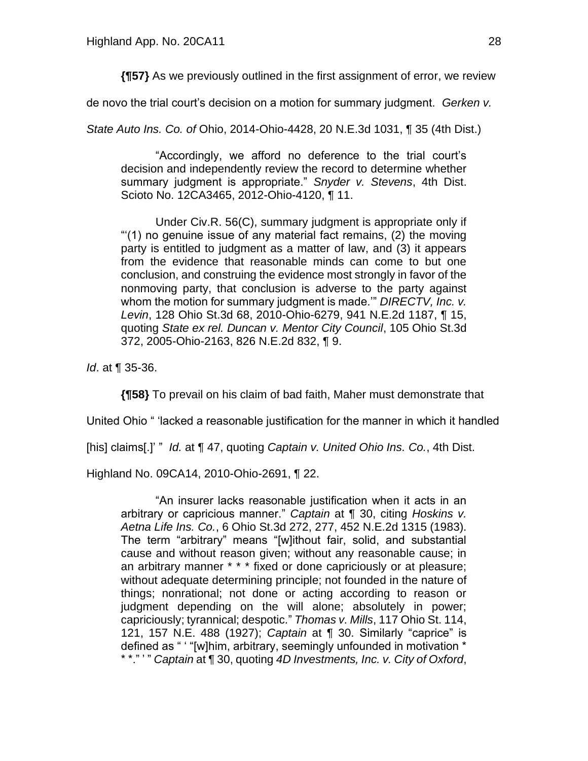**{¶57}** As we previously outlined in the first assignment of error, we review

de novo the trial court's decision on a motion for summary judgment. *Gerken v.* 

*State Auto Ins. Co. of* Ohio, 2014-Ohio-4428, 20 N.E.3d 1031, ¶ 35 (4th Dist.)

"Accordingly, we afford no deference to the trial court's decision and independently review the record to determine whether summary judgment is appropriate." *Snyder v. Stevens*, 4th Dist. Scioto No. 12CA3465, 2012-Ohio-4120, ¶ 11.

Under Civ.R. 56(C), summary judgment is appropriate only if "'(1) no genuine issue of any material fact remains, (2) the moving party is entitled to judgment as a matter of law, and (3) it appears from the evidence that reasonable minds can come to but one conclusion, and construing the evidence most strongly in favor of the nonmoving party, that conclusion is adverse to the party against whom the motion for summary judgment is made.'" *DIRECTV, Inc. v. Levin*, 128 Ohio St.3d 68, 2010-Ohio-6279, 941 N.E.2d 1187, ¶ 15, quoting *State ex rel. Duncan v. Mentor City Council*, 105 Ohio St.3d 372, 2005-Ohio-2163, 826 N.E.2d 832, ¶ 9.

*Id*. at ¶ 35-36.

**{¶58}** To prevail on his claim of bad faith, Maher must demonstrate that

United Ohio " 'lacked a reasonable justification for the manner in which it handled

[his] claims[.]' " *Id.* at ¶ 47, quoting *Captain v. United Ohio Ins. Co.*, 4th Dist.

Highland No. 09CA14, 2010-Ohio-2691, ¶ 22.

"An insurer lacks reasonable justification when it acts in an arbitrary or capricious manner." *Captain* at ¶ 30, citing *Hoskins v. Aetna Life Ins. Co.*, 6 Ohio St.3d 272, 277, 452 N.E.2d 1315 (1983). The term "arbitrary" means "[w]ithout fair, solid, and substantial cause and without reason given; without any reasonable cause; in an arbitrary manner \* \* \* fixed or done capriciously or at pleasure; without adequate determining principle; not founded in the nature of things; nonrational; not done or acting according to reason or judgment depending on the will alone; absolutely in power; capriciously; tyrannical; despotic." *Thomas v. Mills*, 117 Ohio St. 114, 121, 157 N.E. 488 (1927); *Captain* at ¶ 30. Similarly "caprice" is defined as " ' "[w]him, arbitrary, seemingly unfounded in motivation \* \* \*." ' " *Captain* at ¶ 30, quoting *4D Investments, Inc. v. City of Oxford*,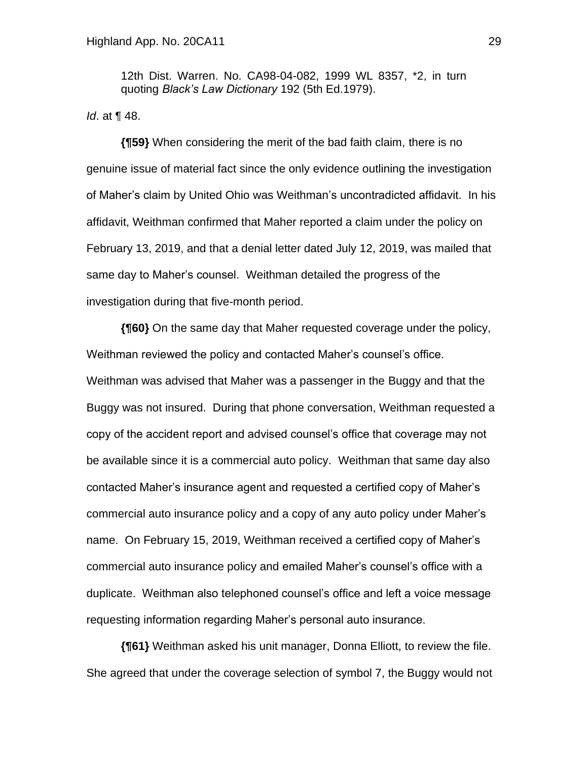12th Dist. Warren. No. CA98-04-082, 1999 WL 8357, \*2, in turn quoting *Black's Law Dictionary* 192 (5th Ed.1979).

*Id*. at ¶ 48.

**{¶59}** When considering the merit of the bad faith claim, there is no genuine issue of material fact since the only evidence outlining the investigation of Maher's claim by United Ohio was Weithman's uncontradicted affidavit. In his affidavit, Weithman confirmed that Maher reported a claim under the policy on February 13, 2019, and that a denial letter dated July 12, 2019, was mailed that same day to Maher's counsel. Weithman detailed the progress of the investigation during that five-month period.

**{¶60}** On the same day that Maher requested coverage under the policy, Weithman reviewed the policy and contacted Maher's counsel's office. Weithman was advised that Maher was a passenger in the Buggy and that the Buggy was not insured. During that phone conversation, Weithman requested a copy of the accident report and advised counsel's office that coverage may not be available since it is a commercial auto policy. Weithman that same day also contacted Maher's insurance agent and requested a certified copy of Maher's commercial auto insurance policy and a copy of any auto policy under Maher's name. On February 15, 2019, Weithman received a certified copy of Maher's commercial auto insurance policy and emailed Maher's counsel's office with a duplicate. Weithman also telephoned counsel's office and left a voice message requesting information regarding Maher's personal auto insurance.

**{¶61}** Weithman asked his unit manager, Donna Elliott, to review the file. She agreed that under the coverage selection of symbol 7, the Buggy would not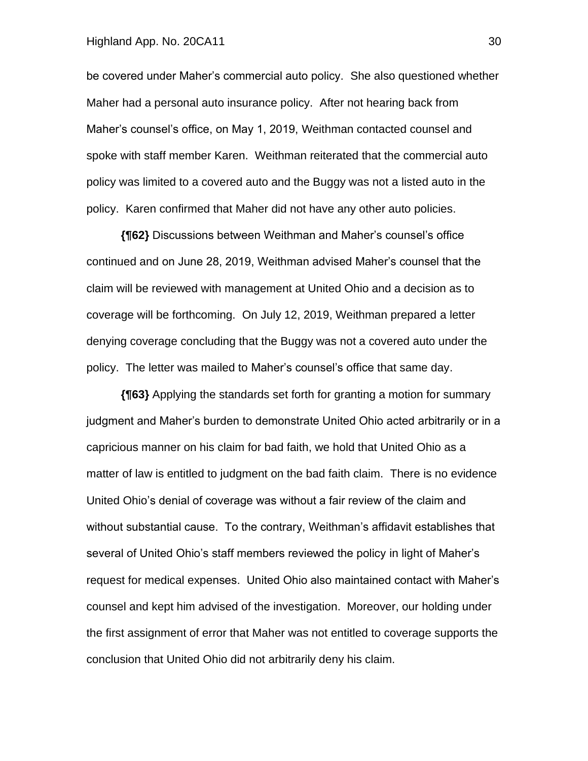#### Highland App. No. 20CA11 30

be covered under Maher's commercial auto policy. She also questioned whether Maher had a personal auto insurance policy. After not hearing back from Maher's counsel's office, on May 1, 2019, Weithman contacted counsel and spoke with staff member Karen. Weithman reiterated that the commercial auto policy was limited to a covered auto and the Buggy was not a listed auto in the policy. Karen confirmed that Maher did not have any other auto policies.

**{¶62}** Discussions between Weithman and Maher's counsel's office continued and on June 28, 2019, Weithman advised Maher's counsel that the claim will be reviewed with management at United Ohio and a decision as to coverage will be forthcoming. On July 12, 2019, Weithman prepared a letter denying coverage concluding that the Buggy was not a covered auto under the policy. The letter was mailed to Maher's counsel's office that same day.

**{¶63}** Applying the standards set forth for granting a motion for summary judgment and Maher's burden to demonstrate United Ohio acted arbitrarily or in a capricious manner on his claim for bad faith, we hold that United Ohio as a matter of law is entitled to judgment on the bad faith claim. There is no evidence United Ohio's denial of coverage was without a fair review of the claim and without substantial cause. To the contrary, Weithman's affidavit establishes that several of United Ohio's staff members reviewed the policy in light of Maher's request for medical expenses. United Ohio also maintained contact with Maher's counsel and kept him advised of the investigation. Moreover, our holding under the first assignment of error that Maher was not entitled to coverage supports the conclusion that United Ohio did not arbitrarily deny his claim.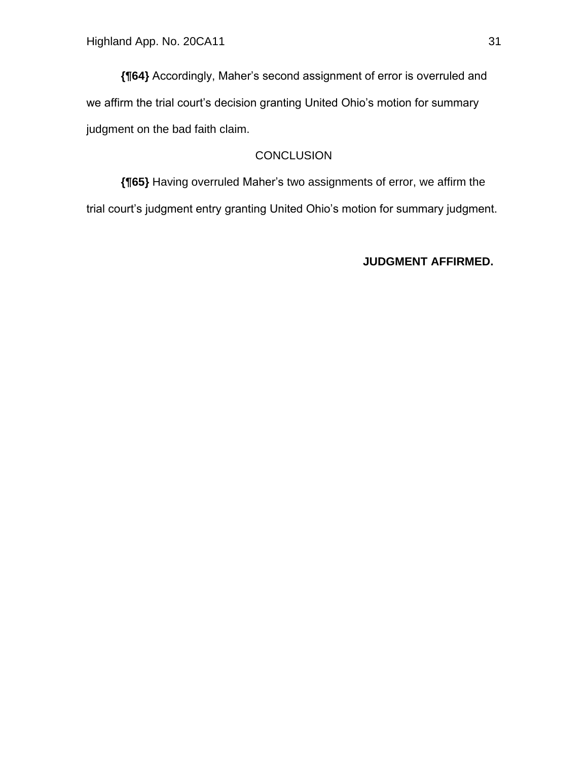**{¶64}** Accordingly, Maher's second assignment of error is overruled and we affirm the trial court's decision granting United Ohio's motion for summary judgment on the bad faith claim.

# **CONCLUSION**

**{¶65}** Having overruled Maher's two assignments of error, we affirm the trial court's judgment entry granting United Ohio's motion for summary judgment.

### **JUDGMENT AFFIRMED.**